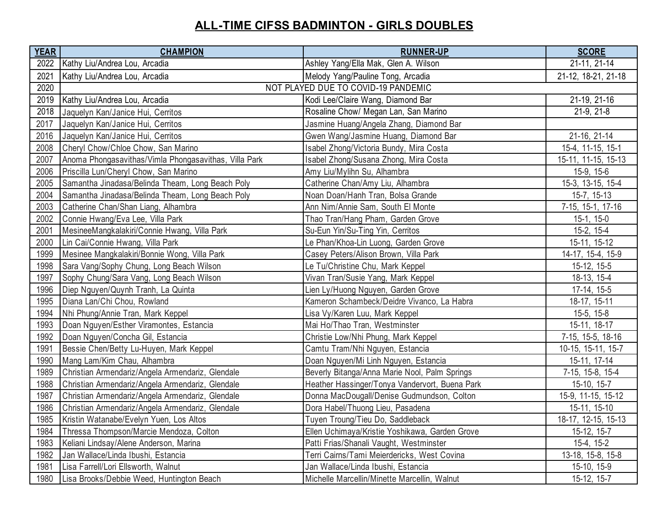## **ALL-TIME CIFSS BADMINTON - GIRLS DOUBLES**

| <b>YEAR</b> | <b>CHAMPION</b>                                       | <b>RUNNER-UP</b>                               | <b>SCORE</b>        |
|-------------|-------------------------------------------------------|------------------------------------------------|---------------------|
| 2022        | Kathy Liu/Andrea Lou, Arcadia                         | Ashley Yang/Ella Mak, Glen A. Wilson           | 21-11, 21-14        |
| 2021        | Kathy Liu/Andrea Lou, Arcadia                         | Melody Yang/Pauline Tong, Arcadia              | 21-12, 18-21, 21-18 |
| 2020        | NOT PLAYED DUE TO COVID-19 PANDEMIC                   |                                                |                     |
| 2019        | Kathy Liu/Andrea Lou, Arcadia                         | Kodi Lee/Claire Wang, Diamond Bar              | 21-19, 21-16        |
| 2018        | Jaquelyn Kan/Janice Hui, Cerritos                     | Rosaline Chow/ Megan Lan, San Marino           | $21-9, 21-8$        |
| 2017        | Jaquelyn Kan/Janice Hui, Cerritos                     | Jasmine Huang/Angela Zhang, Diamond Bar        |                     |
| 2016        | Jaquelyn Kan/Janice Hui, Cerritos                     | Gwen Wang/Jasmine Huang, Diamond Bar           | 21-16, 21-14        |
| 2008        | Cheryl Chow/Chloe Chow, San Marino                    | Isabel Zhong/Victoria Bundy, Mira Costa        | 15-4, 11-15, 15-1   |
| 2007        | Anoma Phongasavithas/Vimla Phongasavithas, Villa Park | Isabel Zhong/Susana Zhong, Mira Costa          | 15-11, 11-15, 15-13 |
| 2006        | Priscilla Lun/Cheryl Chow, San Marino                 | Amy Liu/Mylihn Su, Alhambra                    | 15-9, 15-6          |
| 2005        | Samantha Jinadasa/Belinda Theam, Long Beach Poly      | Catherine Chan/Amy Liu, Alhambra               | 15-3, 13-15, 15-4   |
| 2004        | Samantha Jinadasa/Belinda Theam, Long Beach Poly      | Noan Doan/Hanh Tran, Bolsa Grande              | 15-7, 15-13         |
| 2003        | Catherine Chan/Shan Liang, Alhambra                   | Ann Nim/Annie Sam, South El Monte              | 7-15, 15-1, 17-16   |
| 2002        | Connie Hwang/Eva Lee, Villa Park                      | Thao Tran/Hang Pham, Garden Grove              | $15-1, 15-0$        |
| 2001        | MesineeMangkalakiri/Connie Hwang, Villa Park          | Su-Eun Yin/Su-Ting Yin, Cerritos               | 15-2, 15-4          |
| 2000        | Lin Cai/Connie Hwang, Villa Park                      | Le Phan/Khoa-Lin Luong, Garden Grove           | 15-11, 15-12        |
| 1999        | Mesinee Mangkalakiri/Bonnie Wong, Villa Park          | Casey Peters/Alison Brown, Villa Park          | 14-17, 15-4, 15-9   |
| 1998        | Sara Vang/Sophy Chung, Long Beach Wilson              | Le Tu/Christine Chu, Mark Keppel               | 15-12, 15-5         |
| 1997        | Sophy Chung/Sara Vang, Long Beach Wilson              | Vivan Tran/Susie Yang, Mark Keppel             | 18-13, 15-4         |
| 1996        | Diep Nguyen/Quynh Tranh, La Quinta                    | Lien Ly/Huong Nguyen, Garden Grove             | 17-14, 15-5         |
| 1995        | Diana Lan/Chi Chou, Rowland                           | Kameron Schambeck/Deidre Vivanco, La Habra     | 18-17, 15-11        |
| 1994        | Nhi Phung/Annie Tran, Mark Keppel                     | Lisa Vy/Karen Luu, Mark Keppel                 | $15-5, 15-8$        |
| 1993        | Doan Nguyen/Esther Viramontes, Estancia               | Mai Ho/Thao Tran, Westminster                  | 15-11, 18-17        |
| 1992        | Doan Nguyen/Concha Gil, Estancia                      | Christie Low/Nhi Phung, Mark Keppel            | 7-15, 15-5, 18-16   |
| 1991        | Bessie Chen/Betty Lu-Huyen, Mark Keppel               | Camtu Tram/Nhi Nguyen, Estancia                | 10-15, 15-11, 15-7  |
| 1990        | Mang Lam/Kim Chau, Alhambra                           | Doan Nguyen/Mi Linh Nguyen, Estancia           | 15-11, 17-14        |
| 1989        | Christian Armendariz/Angela Armendariz, Glendale      | Beverly Bitanga/Anna Marie Nool, Palm Springs  | 7-15, 15-8, 15-4    |
| 1988        | Christian Armendariz/Angela Armendariz, Glendale      | Heather Hassinger/Tonya Vandervort, Buena Park | 15-10, 15-7         |
| 1987        | Christian Armendariz/Angela Armendariz, Glendale      | Donna MacDougall/Denise Gudmundson, Colton     | 15-9, 11-15, 15-12  |
| 1986        | Christian Armendariz/Angela Armendariz, Glendale      | Dora Habel/Thuong Lieu, Pasadena               | 15-11, 15-10        |
| 1985        | Kristin Watanabe/Evelyn Yuen, Los Altos               | Tuyen Troung/Tieu Do, Saddleback               | 18-17, 12-15, 15-13 |
| 1984        | Thressa Thompson/Marcie Mendoza, Colton               | Ellen Uchimaya/Kristie Yoshikawa, Garden Grove | 15-12, 15-7         |
| 1983        | Keliani Lindsay/Alene Anderson, Marina                | Patti Frias/Shanali Vaught, Westminster        | 15-4, 15-2          |
| 1982        | Jan Wallace/Linda Ibushi, Estancia                    | Terri Cairns/Tami Meierdericks, West Covina    | 13-18, 15-8, 15-8   |
| 1981        | Lisa Farrell/Lori Ellsworth, Walnut                   | Jan Wallace/Linda Ibushi, Estancia             | 15-10, 15-9         |
| 1980        | Lisa Brooks/Debbie Weed, Huntington Beach             | Michelle Marcellin/Minette Marcellin, Walnut   | 15-12, 15-7         |